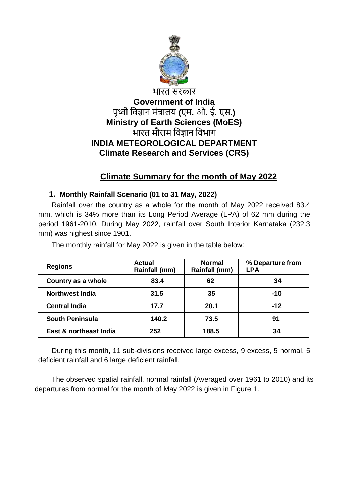

# भारत सरकार **Government of India** पृथ्वी विज्ञान मंत्रालय **(**एम**.** ओ**.** ई**.** एस**.) Ministry of Earth Sciences (MoES)** भारत मौसम विज्ञान विभाग **INDIA METEOROLOGICAL DEPARTMENT Climate Research and Services (CRS)**

# **Climate Summary for the month of May 2022**

## **1. Monthly Rainfall Scenario (01 to 31 May, 2022)**

Rainfall over the country as a whole for the month of May 2022 received 83.4 mm, which is 34% more than its Long Period Average (LPA) of 62 mm during the period 1961-2010. During May 2022, rainfall over South Interior Karnataka (232.3 mm) was highest since 1901.

| <b>Regions</b>         | <b>Actual</b><br>Rainfall (mm) | <b>Normal</b><br>Rainfall (mm) | % Departure from<br><b>LPA</b> |
|------------------------|--------------------------------|--------------------------------|--------------------------------|
| Country as a whole     | 83.4                           | 62                             | 34                             |
| <b>Northwest India</b> | 31.5                           | 35                             | -10                            |
| <b>Central India</b>   | 17.7                           | 20.1                           | $-12$                          |
| <b>South Peninsula</b> | 140.2                          | 73.5                           | 91                             |
| East & northeast India | 252                            | 188.5                          | 34                             |

The monthly rainfall for May 2022 is given in the table below:

During this month, 11 sub-divisions received large excess, 9 excess, 5 normal, 5 deficient rainfall and 6 large deficient rainfall.

The observed spatial rainfall, normal rainfall (Averaged over 1961 to 2010) and its departures from normal for the month of May 2022 is given in Figure 1.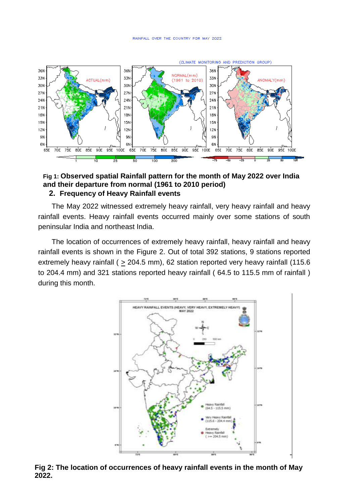

### **Fig 1: Observed spatial Rainfall pattern for the month of May 2022 over India and their departure from normal (1961 to 2010 period) 2. Frequency of Heavy Rainfall events**

The May 2022 witnessed extremely heavy rainfall, very heavy rainfall and heavy rainfall events. Heavy rainfall events occurred mainly over some stations of south peninsular India and northeast India.

The location of occurrences of extremely heavy rainfall, heavy rainfall and heavy rainfall events is shown in the Figure 2. Out of total 392 stations, 9 stations reported extremely heavy rainfall ( $\geq$  204.5 mm), 62 station reported very heavy rainfall (115.6 to 204.4 mm) and 321 stations reported heavy rainfall ( 64.5 to 115.5 mm of rainfall ) during this month.



-

#### **Fig 2: The location of occurrences of heavy rainfall events in the month of May 2022.**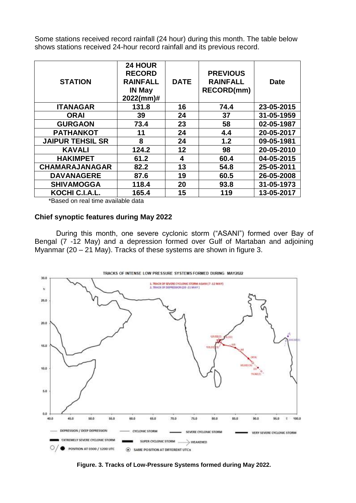Some stations received record rainfall (24 hour) during this month. The table below shows stations received 24-hour record rainfall and its previous record.

| <b>STATION</b>          | 24 HOUR<br><b>RECORD</b><br><b>RAINFALL</b><br><b>IN May</b><br>2022(mm)# | <b>DATE</b> | <b>PREVIOUS</b><br><b>RAINFALL</b><br><b>RECORD(mm)</b> | <b>Date</b> |
|-------------------------|---------------------------------------------------------------------------|-------------|---------------------------------------------------------|-------------|
| <b>ITANAGAR</b>         | 131.8                                                                     | 16          | 74.4                                                    | 23-05-2015  |
| <b>ORAI</b>             | 39                                                                        | 24          | 37                                                      | 31-05-1959  |
| <b>GURGAON</b>          | 73.4                                                                      | 23          | 58                                                      | 02-05-1987  |
| <b>PATHANKOT</b>        | 11                                                                        | 24          | 4.4                                                     | 20-05-2017  |
| <b>JAIPUR TEHSIL SR</b> | 8                                                                         | 24          | 1.2                                                     | 09-05-1981  |
| <b>KAVALI</b>           | 124.2                                                                     | 12          | 98                                                      | 20-05-2010  |
| <b>HAKIMPET</b>         | 61.2                                                                      | 4           | 60.4                                                    | 04-05-2015  |
| <b>CHAMARAJANAGAR</b>   | 82.2                                                                      | 13          | 54.8                                                    | 25-05-2011  |
| <b>DAVANAGERE</b>       | 87.6                                                                      | 19          | 60.5                                                    | 26-05-2008  |
| <b>SHIVAMOGGA</b>       | 118.4                                                                     | 20          | 93.8                                                    | 31-05-1973  |
| KOCHI C.I.A.L.          | 165.4                                                                     | 15          | 119                                                     | 13-05-2017  |

\*Based on real time available data

#### **Chief synoptic features during May 2022**

During this month, one severe cyclonic storm ("ASANI") formed over Bay of Bengal (7 -12 May) and a depression formed over Gulf of Martaban and adjoining Myanmar (20 – 21 May). Tracks of these systems are shown in figure 3.



**Figure. 3. Tracks of Low-Pressure Systems formed during May 2022.**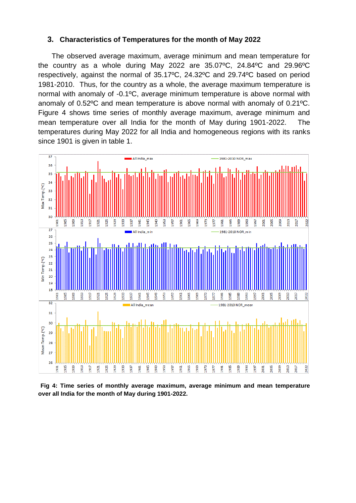#### **3. Characteristics of Temperatures for the month of May 2022**

The observed average maximum, average minimum and mean temperature for the country as a whole during May 2022 are 35.07ºC, 24.84ºC and 29.96ºC respectively, against the normal of 35.17ºC, 24.32ºC and 29.74ºC based on period 1981-2010. Thus, for the country as a whole, the average maximum temperature is normal with anomaly of -0.1ºC, average minimum temperature is above normal with anomaly of 0.52ºC and mean temperature is above normal with anomaly of 0.21ºC. Figure 4 shows time series of monthly average maximum, average minimum and mean temperature over all India for the month of May during 1901-2022. The temperatures during May 2022 for all India and homogeneous regions with its ranks since 1901 is given in table 1.



**Fig 4: Time series of monthly average maximum, average minimum and mean temperature over all India for the month of May during 1901-2022.**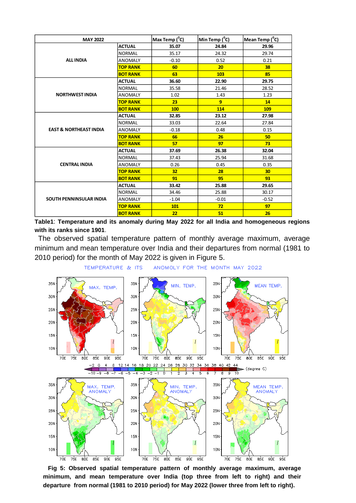| <b>MAY 2022</b>                   |                 | Max Temp ( <sup>o</sup> C) | Min Temp ( <sup>0</sup> C) | Mean Temp ( <sup>0</sup> C) |
|-----------------------------------|-----------------|----------------------------|----------------------------|-----------------------------|
|                                   | <b>ACTUAL</b>   | 35.07                      | 24.84                      | 29.96                       |
|                                   | <b>NORMAL</b>   | 35.17                      | 24.32                      | 29.74                       |
| <b>ALL INDIA</b>                  | <b>ANOMALY</b>  | $-0.10$                    | 0.52                       | 0.21                        |
|                                   | <b>TOP RANK</b> | 60                         | 20                         | 38                          |
|                                   | <b>BOT RANK</b> | 63                         | 103                        | 85                          |
|                                   | <b>ACTUAL</b>   | 36.60                      | 22.90                      | 29.75                       |
|                                   | <b>NORMAL</b>   | 35.58                      | 21.46                      | 28.52                       |
| <b>NORTHWEST INDIA</b>            | <b>ANOMALY</b>  | 1.02                       | 1.43                       | 1.23                        |
|                                   | <b>TOP RANK</b> | 23                         | 9                          | 14                          |
|                                   | <b>BOT RANK</b> | 100                        | 114                        | 109                         |
|                                   | <b>ACTUAL</b>   | 32.85                      | 23.12                      | 27.98                       |
|                                   | <b>NORMAL</b>   | 33.03                      | 22.64                      | 27.84                       |
| <b>EAST &amp; NORTHEAST INDIA</b> | <b>ANOMALY</b>  | $-0.18$                    | 0.48                       | 0.15                        |
|                                   | <b>TOP RANK</b> | 66                         | 26                         | 50                          |
|                                   | <b>BOT RANK</b> | 57                         | 97                         | 73                          |
|                                   | <b>ACTUAL</b>   | 37.69                      | 26.38                      | 32.04                       |
|                                   | <b>NORMAL</b>   | 37.43                      | 25.94                      | 31.68                       |
| <b>CENTRAL INDIA</b>              | <b>ANOMALY</b>  | 0.26                       | 0.45                       | 0.35                        |
|                                   | <b>TOP RANK</b> | 32                         | 28                         | 30                          |
|                                   | <b>BOT RANK</b> | 91                         | 95                         | 93                          |
|                                   | <b>ACTUAL</b>   | 33.42                      | 25.88                      | 29.65                       |
|                                   | <b>NORMAL</b>   | 34.46                      | 25.88                      | 30.17                       |
| <b>SOUTH PENNINSULAR INDIA</b>    | <b>ANOMALY</b>  | $-1.04$                    | $-0.01$                    | $-0.52$                     |
|                                   | <b>TOP RANK</b> | <b>101</b>                 | 72                         | 97                          |
|                                   | <b>BOT RANK</b> | 22                         | 51                         | 26                          |

**Table1**: **Temperature and its anomaly during May 2022 for all India and homogeneous regions with its ranks since 1901**.

The observed spatial temperature pattern of monthly average maximum, average minimum and mean temperature over India and their departures from normal (1981 to 2010 period) for the month of May 2022 is given in Figure 5.



TEMPERATURE & ITS ANOMOLY FOR THE MONTH MAY 2022

 **Fig 5: Observed spatial temperature pattern of monthly average maximum, average minimum, and mean temperature over India (top three from left to right) and their departure from normal (1981 to 2010 period) for May 2022 (lower three from left to right).**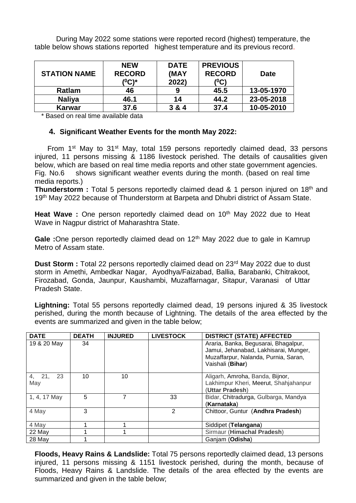During May 2022 some stations were reported record (highest) temperature, the table below shows stations reported highest temperature and its previous record.

| <b>STATION NAME</b> | <b>NEW</b><br><b>RECORD</b><br>( <sup>0</sup> C)* | <b>DATE</b><br>(MAY<br>2022) | <b>PREVIOUS</b><br><b>RECORD</b><br>(°C) | <b>Date</b> |
|---------------------|---------------------------------------------------|------------------------------|------------------------------------------|-------------|
| Ratlam              | 46                                                |                              | 45.5                                     | 13-05-1970  |
| <b>Naliya</b>       | 46.1                                              | 14                           | 44.2                                     | 23-05-2018  |
| <b>Karwar</b>       | 37.6                                              | 3 & 4                        | 37.4                                     | 10-05-2010  |

\* Based on real time available data

### **4. Significant Weather Events for the month May 2022:**

From 1<sup>st</sup> May to 31<sup>st</sup> May, total 159 persons reportedly claimed dead, 33 persons injured, 11 persons missing & 1186 livestock perished. The details of causalities given below, which are based on real time media reports and other state government agencies. Fig. No.6 shows significant weather events during the month. (based on real time media reports.)

**Thunderstorm :** Total 5 persons reportedly claimed dead & 1 person injured on 18<sup>th</sup> and 19<sup>th</sup> May 2022 because of Thunderstorm at Barpeta and Dhubri district of Assam State.

Heat Wave : One person reportedly claimed dead on 10<sup>th</sup> May 2022 due to Heat Wave in Nagpur district of Maharashtra State.

Gale : One person reportedly claimed dead on 12<sup>th</sup> May 2022 due to gale in Kamrup Metro of Assam state.

**Dust Storm :** Total 22 persons reportedly claimed dead on 23<sup>rd</sup> May 2022 due to dust storm in Amethi, Ambedkar Nagar, Ayodhya/Faizabad, Ballia, Barabanki, Chitrakoot, Firozabad, Gonda, Jaunpur, Kaushambi, Muzaffarnagar, Sitapur, Varanasi of Uttar Pradesh State.

**Lightning:** Total 55 persons reportedly claimed dead, 19 persons injured & 35 livestock perished, during the month because of Lightning. The details of the area effected by the events are summarized and given in the table below;

| <b>DATE</b>      | <b>DEATH</b> | <b>INJURED</b> | <b>LIVESTOCK</b> | <b>DISTRICT (STATE) AFFECTED</b>                                                                                                          |
|------------------|--------------|----------------|------------------|-------------------------------------------------------------------------------------------------------------------------------------------|
| 19 & 20 May      | 34           |                |                  | Araria, Banka, Begusarai, Bhagalpur,<br>Jamui, Jehanabad, Lakhisarai, Munger,<br>Muzaffarpur, Nalanda, Purnia, Saran,<br>Vaishali (Bihar) |
| 4, 21, 23<br>May | 10           | 10             |                  | Aligarh, Amroha, Banda, Bijnor,<br>Lakhimpur Kheri, Meerut, Shahjahanpur<br>(Uttar Pradesh)                                               |
| 1, 4, 17 May     | 5            |                | 33               | Bidar, Chitradurga, Gulbarga, Mandya<br>(Karnataka)                                                                                       |
| 4 May            | 3            |                | 2                | Chittoor, Guntur (Andhra Pradesh)                                                                                                         |
| 4 May            |              |                |                  | Siddipet (Telangana)                                                                                                                      |
| 22 May           |              |                |                  | Sirmaur (Himachal Pradesh)                                                                                                                |
| 28 May           |              |                |                  | Ganjam (Odisha)                                                                                                                           |

**Floods, Heavy Rains & Landslide:** Total 75 persons reportedly claimed dead, 13 persons injured, 11 persons missing & 1151 livestock perished, during the month, because of Floods, Heavy Rains & Landslide. The details of the area effected by the events are summarized and given in the table below;